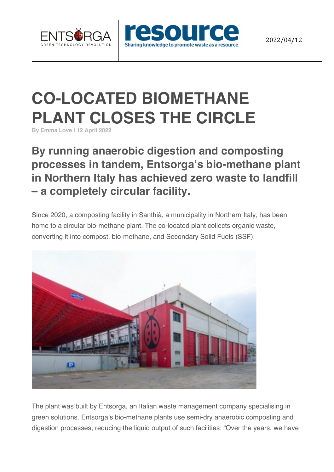





## **CO-LOCATED BIOMETHANE PLANT CLOSES THE CIRCLE**

**By Emma Love | 12 April 2022**

## **By running anaerobic digestion and composting processes in tandem, Entsorga's bio-methane plant in Northern Italy has achieved zero waste to landfill – a completely circular facility.**

Since 2020, a composting facility in Santhià, a municipality in Northern Italy, has been home to a circular bio-methane plant. The co-located plant collects organic waste, converting it into compost, bio-methane, and Secondary Solid Fuels (SSF).



The plant was built by Entsorga, an Italian waste management company specialising in green solutions. Entsorga's bio-methane plants use semi-dry anaerobic composting and digestion processes, reducing the liquid output of such facilities: "Over the years, we have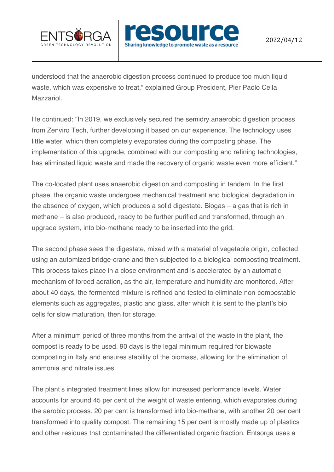



understood that the anaerobic digestion process continued to produce too much liquid waste, which was expensive to treat," explained Group President, Pier Paolo Cella Mazzariol.

He continued: "In 2019, we exclusively secured the semidry anaerobic digestion process from Zenviro Tech, further developing it based on our experience. The technology uses little water, which then completely evaporates during the composting phase. The implementation of this upgrade, combined with our composting and refining technologies, has eliminated liquid waste and made the recovery of organic waste even more efficient."

The co-located plant uses anaerobic digestion and composting in tandem. In the first phase, the organic waste undergoes mechanical treatment and biological degradation in the absence of oxygen, which produces a solid digestate. Biogas – a gas that is rich in methane – is also produced, ready to be further purified and transformed, through an upgrade system, into bio-methane ready to be inserted into the grid.

The second phase sees the digestate, mixed with a material of vegetable origin, collected using an automized bridge-crane and then subjected to a biological composting treatment. This process takes place in a close environment and is accelerated by an automatic mechanism of forced aeration, as the air, temperature and humidity are monitored. After about 40 days, the fermented mixture is refined and tested to eliminate non-compostable elements such as aggregates, plastic and glass, after which it is sent to the plant's bio cells for slow maturation, then for storage.

After a minimum period of three months from the arrival of the waste in the plant, the compost is ready to be used. 90 days is the legal minimum required for biowaste composting in Italy and ensures stability of the biomass, allowing for the elimination of ammonia and nitrate issues.

The plant's integrated treatment lines allow for increased performance levels. Water accounts for around 45 per cent of the weight of waste entering, which evaporates during the aerobic process. 20 per cent is transformed into bio-methane, with another 20 per cent transformed into quality compost. The remaining 15 per cent is mostly made up of plastics and other residues that contaminated the differentiated organic fraction. Entsorga uses a